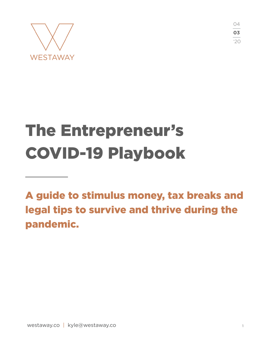



# The Entrepreneur's COVID-19 Playbook

A guide to stimulus money, tax breaks and legal tips to survive and thrive during the pandemic.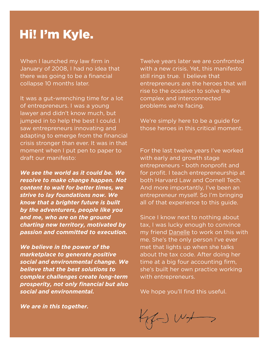# Hi! I'm Kyle.

When I launched my law firm in January of 2008, I had no idea that there was going to be a financial collapse 10 months later.

It was a gut-wrenching time for a lot of entrepreneurs. I was a young lawyer and didn't know much, but jumped in to help the best I could. I saw entrepreneurs innovating and adapting to emerge from the financial crisis stronger than ever. It was in that moment when I put pen to paper to draft our manifesto:

*We see the world as it could be. We resolve to make change happen. Not content to wait for better times, we strive to lay foundations now. We know that a brighter future is built by the adventurers, people like you and me, who are on the ground charting new territory, motivated by passion and committed to execution.* 

*We believe in the power of the marketplace to generate positive social and environmental change. We believe that the best solutions to complex challenges create long-term prosperity, not only financial but also social and environmental.* 

Twelve years later we are confronted with a new crisis. Yet, this manifesto still rings true. I believe that entrepreneurs are the heroes that will rise to the occasion to solve the complex and interconnected problems we're facing.

We're simply here to be a guide for those heroes in this critical moment.

For the last twelve years I've worked with early and growth stage entrepreneurs - both nonprofit and for profit. I teach entrepreneurship at both Harvard Law and Cornell Tech. And more importantly, I've been an entrepreneur myself. So I'm bringing all of that experience to this guide.

Since I know next to nothing about tax, I was lucky enough to convince my friend [Danelle](https://www.linkedin.com/in/jenetayeva/) to work on this with me. She's the only person I've ever met that lights up when she talks about the tax code. After doing her time at a big four accounting firm, she's built her own practice working with entrepreneurs.

We hope you'll find this useful.

 $H \cup W \rightarrow$ 

*We are in this together.*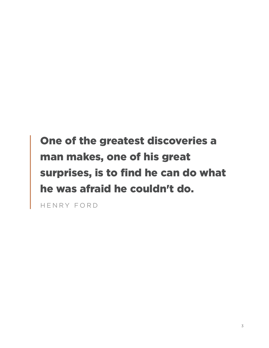# One of the greatest discoveries a man makes, one of his great surprises, is to find he can do what he was afraid he couldn't do.

HENRY FORD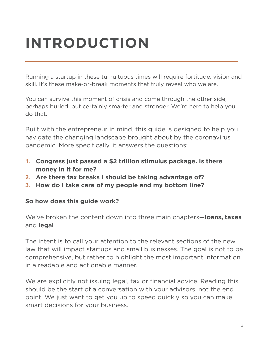# **INTRODUCTION**

Running a startup in these tumultuous times will require fortitude, vision and skill. It's these make-or-break moments that truly reveal who we are.

You can survive this moment of crisis and come through the other side, perhaps buried, but certainly smarter and stronger. We're here to help you do that.

Built with the entrepreneur in mind, this guide is designed to help you navigate the changing landscape brought about by the coronavirus pandemic. More specifically, it answers the questions:

- **1. Congress just passed a \$2 trillion stimulus package. Is there money in it for me?**
- **2. Are there tax breaks I should be taking advantage of?**
- **3. How do I take care of my people and my bottom line?**

#### **So how does this guide work?**

We've broken the content down into three main chapters—**loans, taxes**  and **legal**.

The intent is to call your attention to the relevant sections of the new law that will impact startups and small businesses. The goal is not to be comprehensive, but rather to highlight the most important information in a readable and actionable manner.

We are explicitly not issuing legal, tax or financial advice. Reading this should be the start of a conversation with your advisors, not the end point. We just want to get you up to speed quickly so you can make smart decisions for your business.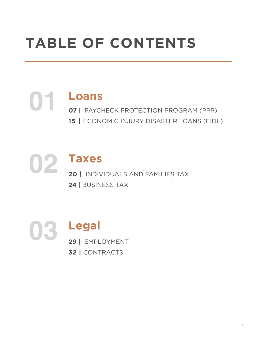# **TABLE OF CONTENTS**

**01 Loans 07 |** PAYCHECK PROTECTION PROGRAM (PPP) **15 |** ECONOMIC INJURY DISASTER LOANS (EIDL)

**02 Taxes 20 |** INDIVIDUALS AND FAMILIES TAX **24 |** BUSINESS TAX

**03 Legal 29 |** EMPLOYMENT **32 |** CONTRACTS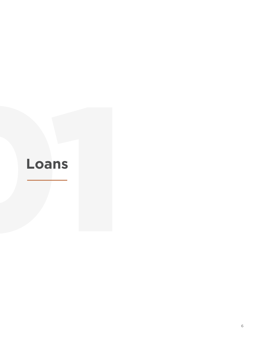# **Loans**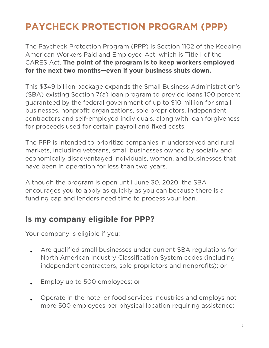# **PAYCHECK PROTECTION PROGRAM (PPP)**

The Paycheck Protection Program (PPP) is Section 1102 of the Keeping American Workers Paid and Employed Act, which is Title I of the CARES Act. **The point of the program is to keep workers employed for the next two months—even if your business shuts down.**

This \$349 billion package expands the Small Business Administration's (SBA) existing Section 7(a) loan program to provide loans 100 percent guaranteed by the federal government of up to \$10 million for small businesses, nonprofit organizations, sole proprietors, independent contractors and self-employed individuals, along with loan forgiveness for proceeds used for certain payroll and fixed costs.

The PPP is intended to prioritize companies in underserved and rural markets, including veterans, small businesses owned by socially and economically disadvantaged individuals, women, and businesses that have been in operation for less than two years.

Although the program is open until June 30, 2020, the SBA encourages you to apply as quickly as you can because there is a funding cap and lenders need time to process your loan.

#### **Is my company eligible for PPP?**

Your company is eligible if you:

- Are qualified small businesses under current SBA regulations for North American Industry Classification System codes (including independent contractors, sole proprietors and nonprofits); or
- Employ up to 500 employees; or
- Operate in the hotel or food services industries and employs not more 500 employees per physical location requiring assistance;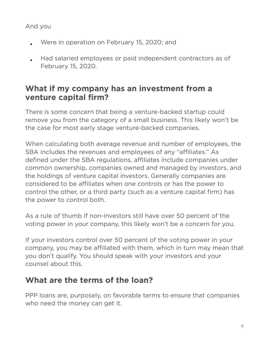#### And you

- Were in operation on February 15, 2020; and
- Had salaried employees or paid independent contractors as of February 15, 2020.

#### **What if my company has an investment from a venture capital firm?**

There is some concern that being a venture-backed startup could remove you from the category of a small business. This likely won't be the case for most early stage venture-backed companies.

When calculating both average revenue and number of employees, the SBA includes the revenues and employees of any "affiliates." As defined under the SBA regulations, affiliates include companies under common ownership, companies owned and managed by investors, and the holdings of venture capital investors. Generally companies are considered to be affiliates when one controls or has the power to control the other, or a third party (such as a venture capital firm) has the power to control both.

As a rule of thumb If non-investors still have over 50 percent of the voting power in your company, this likely won't be a concern for you.

If your investors control over 50 percent of the voting power in your company, you may be affiliated with them, which in turn may mean that you don't qualify. You should speak with your investors and your counsel about this.

#### **What are the terms of the loan?**

PPP loans are, purposely, on favorable terms to ensure that companies who need the money can get it.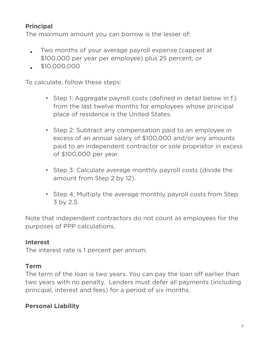#### **Principal**

The maximum amount you can borrow is the lesser of:

- Two months of your average payroll expense (capped at \$100,000 per year per employee) plus 25 percent, or
- \$10,000,000

To calculate, follow these steps:

- Step 1: Aggregate payroll costs (defined in detail below in f.) from the last twelve months for employees whose principal place of residence is the United States.
- Step 2: Subtract any compensation paid to an employee in excess of an annual salary of \$100,000 and/or any amounts paid to an independent contractor or sole proprietor in excess of \$100,000 per year.
- Step 3: Calculate average monthly payroll costs (divide the amount from Step 2 by 12).
- Step 4: Multiply the average monthly payroll costs from Step 3 by 2.5.

Note that independent contractors do not count as employees for the purposes of PPP calculations.

#### **Interest**

The interest rate is 1 percent per annum.

#### **Term**

The term of the loan is two years. You can pay the loan off earlier than two years with no penalty. Lenders must defer all payments (including principal, interest and fees) for a period of six months.

#### **Personal Liability**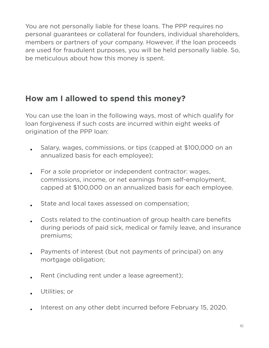You are not personally liable for these loans. The PPP requires no personal guarantees or collateral for founders, individual shareholders, members or partners of your company. However, if the loan proceeds are used for fraudulent purposes, you will be held personally liable. So, be meticulous about how this money is spent.

#### **How am I allowed to spend this money?**

You can use the loan in the following ways, most of which qualify for loan forgiveness if such costs are incurred within eight weeks of origination of the PPP loan:

- Salary, wages, commissions, or tips (capped at \$100,000 on an annualized basis for each employee);
- For a sole proprietor or independent contractor: wages, commissions, income, or net earnings from self-employment, capped at \$100,000 on an annualized basis for each employee.
- State and local taxes assessed on compensation;
- Costs related to the continuation of group health care benefits during periods of paid sick, medical or family leave, and insurance premiums;
- Payments of interest (but not payments of principal) on any mortgage obligation;
- Rent (including rent under a lease agreement);
- Utilities; or
- Interest on any other debt incurred before February 15, 2020.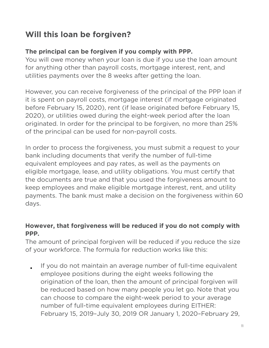## **Will this loan be forgiven?**

#### **The principal can be forgiven if you comply with PPP.**

You will owe money when your loan is due if you use the loan amount for anything other than payroll costs, mortgage interest, rent, and utilities payments over the 8 weeks after getting the loan.

However, you can receive forgiveness of the principal of the PPP loan if it is spent on payroll costs, mortgage interest (if mortgage originated before February 15, 2020), rent (if lease originated before February 15, 2020), or utilities owed during the eight-week period after the loan originated. In order for the principal to be forgiven, no more than 25% of the principal can be used for non-payroll costs.

In order to process the forgiveness, you must submit a request to your bank including documents that verify the number of full-time equivalent employees and pay rates, as well as the payments on eligible mortgage, lease, and utility obligations. You must certify that the documents are true and that you used the forgiveness amount to keep employees and make eligible mortgage interest, rent, and utility payments. The bank must make a decision on the forgiveness within 60 days.

#### **However, that forgiveness will be reduced if you do not comply with PPP.**

The amount of principal forgiven will be reduced if you reduce the size of your workforce. The formula for reduction works like this:

• If you do not maintain an average number of full-time equivalent employee positions during the eight weeks following the origination of the loan, then the amount of principal forgiven will be reduced based on how many people you let go. Note that you can choose to compare the eight-week period to your average number of full-time equivalent employees during EITHER: February 15, 2019–July 30, 2019 OR January 1, 2020–February 29,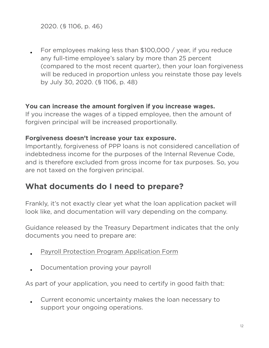2020. (§ 1106, p. 46)

• For employees making less than \$100,000 / year, if you reduce any full-time employee's salary by more than 25 percent (compared to the most recent quarter), then your loan forgiveness will be reduced in proportion unless you reinstate those pay levels by July 30, 2020. (§ 1106, p. 48)

#### **You can increase the amount forgiven if you increase wages.**

If you increase the wages of a tipped employee, then the amount of forgiven principal will be increased proportionally.

#### **Forgiveness doesn't increase your tax exposure.**

Importantly, forgiveness of PPP loans is not considered cancellation of indebtedness income for the purposes of the Internal Revenue Code, and is therefore excluded from gross income for tax purposes. So, you are not taxed on the forgiven principal.

#### **What documents do I need to prepare?**

Frankly, it's not exactly clear yet what the loan application packet will look like, and documentation will vary depending on the company.

Guidance released by the Treasury Department indicates that the only documents you need to prepare are:

- [Payroll Protection Program Application Form](https://home.treasury.gov/system/files/136/Paycheck-Protection-Program-Application-3-30-2020-v3.pdf)
- Documentation proving your payroll

As part of your application, you need to certify in good faith that:

• Current economic uncertainty makes the loan necessary to support your ongoing operations.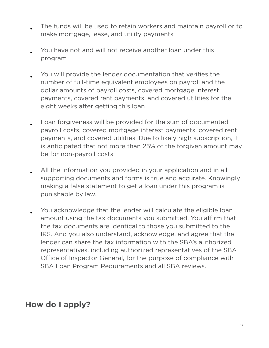- The funds will be used to retain workers and maintain payroll or to make mortgage, lease, and utility payments.
- You have not and will not receive another loan under this program.
- You will provide the lender documentation that verifies the number of full-time equivalent employees on payroll and the dollar amounts of payroll costs, covered mortgage interest payments, covered rent payments, and covered utilities for the eight weeks after getting this loan.
- Loan forgiveness will be provided for the sum of documented payroll costs, covered mortgage interest payments, covered rent payments, and covered utilities. Due to likely high subscription, it is anticipated that not more than 25% of the forgiven amount may be for non-payroll costs.
- All the information you provided in your application and in all supporting documents and forms is true and accurate. Knowingly making a false statement to get a loan under this program is punishable by law.
- You acknowledge that the lender will calculate the eligible loan amount using the tax documents you submitted. You affirm that the tax documents are identical to those you submitted to the IRS. And you also understand, acknowledge, and agree that the lender can share the tax information with the SBA's authorized representatives, including authorized representatives of the SBA Office of Inspector General, for the purpose of compliance with SBA Loan Program Requirements and all SBA reviews.

#### **How do I apply?**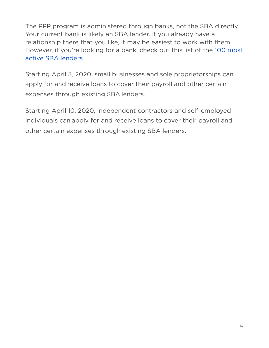The PPP program is administered through banks, not the SBA directly. Your current bank is likely an SBA lender. If you already have a relationship there that you like, it may be easiest to work with them. However, if you're looking for a bank, check out this list of the [100 most](https://www.sba.gov/article/2020/mar/02/100-most-active-sba-7a-lenders)  [active SBA lenders](https://www.sba.gov/article/2020/mar/02/100-most-active-sba-7a-lenders).

Starting April 3, 2020, small businesses and sole proprietorships can apply for and receive loans to cover their payroll and other certain expenses through existing SBA lenders.

Starting April 10, 2020, independent contractors and self-employed individuals can apply for and receive loans to cover their payroll and other certain expenses through existing SBA lenders.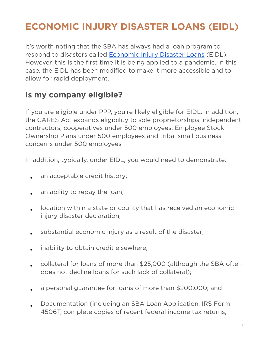# **ECONOMIC INJURY DISASTER LOANS (EIDL)**

It's worth noting that the SBA has always had a loan program to respond to disasters called [Economic Injury Disaster Loans](https://www.sba.gov/page/disaster-loan-applications) (EIDL). However, this is the first time it is being applied to a pandemic. In this case, the EIDL has been modified to make it more accessible and to allow for rapid deployment.

#### **Is my company eligible?**

If you are eligible under PPP, you're likely eligible for EIDL. In addition, the CARES Act expands eligibility to sole proprietorships, independent contractors, cooperatives under 500 employees, Employee Stock Ownership Plans under 500 employees and tribal small business concerns under 500 employees

In addition, typically, under EIDL, you would need to demonstrate:

- an acceptable credit history;
- an ability to repay the loan;
- location within a state or county that has received an economic injury disaster declaration;
- substantial economic injury as a result of the disaster;
- inability to obtain credit elsewhere;
- collateral for loans of more than \$25,000 (although the SBA often does not decline loans for such lack of collateral);
- a personal guarantee for loans of more than \$200,000; and
- Documentation (including an SBA Loan Application, IRS Form 4506T, complete copies of recent federal income tax returns,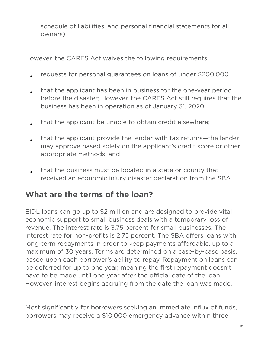schedule of liabilities, and personal financial statements for all owners).

However, the CARES Act waives the following requirements.

- requests for personal guarantees on loans of under \$200,000
- that the applicant has been in business for the one-year period before the disaster; However, the CARES Act still requires that the business has been in operation as of January 31, 2020;
- that the applicant be unable to obtain credit elsewhere;
- that the applicant provide the lender with tax returns—the lender may approve based solely on the applicant's credit score or other appropriate methods; and
- that the business must be located in a state or county that received an economic injury disaster declaration from the SBA.

#### **What are the terms of the loan?**

EIDL loans can go up to \$2 million and are designed to provide vital economic support to small business deals with a temporary loss of revenue. The interest rate is 3.75 percent for small businesses. The interest rate for non-profits is 2.75 percent. The SBA offers loans with long-term repayments in order to keep payments affordable, up to a maximum of 30 years. Terms are determined on a case-by-case basis, based upon each borrower's ability to repay. Repayment on loans can be deferred for up to one year, meaning the first repayment doesn't have to be made until one year after the official date of the loan. However, interest begins accruing from the date the loan was made.

Most significantly for borrowers seeking an immediate influx of funds, borrowers may receive a \$10,000 emergency advance within three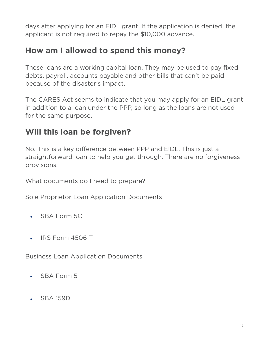days after applying for an EIDL grant. If the application is denied, the applicant is not required to repay the \$10,000 advance.

#### **How am I allowed to spend this money?**

These loans are a working capital loan. They may be used to pay fixed debts, payroll, accounts payable and other bills that can't be paid because of the disaster's impact.

The CARES Act seems to indicate that you may apply for an EIDL grant in addition to a loan under the PPP, so long as the loans are not used for the same purpose.

#### **Will this loan be forgiven?**

No. This is a key difference between PPP and EIDL. This is just a straightforward loan to help you get through. There are no forgiveness provisions.

What documents do I need to prepare?

Sole Proprietor Loan Application Documents

- [SBA Form 5C](https://disasterloan.sba.gov/ela/Documents/Disaster%20Home%20Loan%20Application%20(SBA%20Form%205c).aspx)
- [IRS Form 4506-T](https://disasterloan.sba.gov/ela/Documents/Request%20for%20Transcript%20of%20Tax%20Return%20(IRS%20Form%204506T).aspx?pt=Home&sp=1)

Business Loan Application Documents

- [SBA Form 5](https://disasterloan.sba.gov/ela/Documents/Disaster%20Business%20Loan%20Application%20(SBA%20Form%205).aspx)
- [SBA 159D](https://disasterloan.sba.gov/ela/Documents/Fee_Disclosure_Form_and_Compensation_Agreement_(159D).aspx)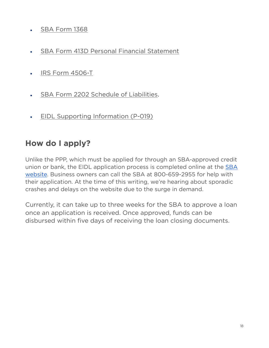- [SBA Form 1368](https://disasterloan.sba.gov/ela/Information/OMB_1368)
- [SBA Form 413D Personal Financial Statement](https://disasterloan.sba.gov/ela/Documents/Personal_Financial_Statement.aspx)
- [IRS Form 4506-T](https://disasterloan.sba.gov/ela/Documents/Request%20for%20Transcript%20of%20Tax%20Return%20(IRS%20Form%204506T).aspx?pt=Business&ff=true&sp=1)
- [SBA Form 2202 Schedule of Liabilities.](https://disasterloan.sba.gov/ela/Documents/Schedule_of_Liabilities.aspx)
- [EIDL Supporting Information \(P-019\)](https://disasterloan.sba.gov/ela/Documents/EIDL%20Supporting%20Information%20(P-019).pdf)

### **How do I apply?**

Unlike the PPP, which must be applied for through an SBA-approved credit union or bank, the EIDL application process is completed online at the [SBA](https://covid19relief.sba.gov/#/)  [website](https://covid19relief.sba.gov/#/). Business owners can call the SBA at 800-659-2955 for help with their application. At the time of this writing, we're hearing about sporadic crashes and delays on the website due to the surge in demand.

Currently, it can take up to three weeks for the SBA to approve a loan once an application is received. Once approved, funds can be disbursed within five days of receiving the loan closing documents.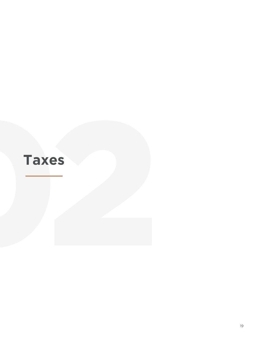# **Taxes**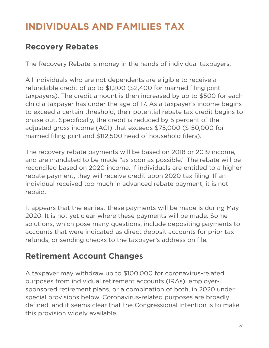# **INDIVIDUALS AND FAMILIES TAX**

### **Recovery Rebates**

The Recovery Rebate is money in the hands of individual taxpayers.

All individuals who are not dependents are eligible to receive a refundable credit of up to \$1,200 (\$2,400 for married filing joint taxpayers). The credit amount is then increased by up to \$500 for each child a taxpayer has under the age of 17. As a taxpayer's income begins to exceed a certain threshold, their potential rebate tax credit begins to phase out. Specifically, the credit is reduced by 5 percent of the adjusted gross income (AGI) that exceeds \$75,000 (\$150,000 for married filing joint and \$112,500 head of household filers).

The recovery rebate payments will be based on 2018 or 2019 income, and are mandated to be made "as soon as possible." The rebate will be reconciled based on 2020 income. If individuals are entitled to a higher rebate payment, they will receive credit upon 2020 tax filing. If an individual received too much in advanced rebate payment, it is not repaid.

It appears that the earliest these payments will be made is during May 2020. It is not yet clear where these payments will be made. Some solutions, which pose many questions, include depositing payments to accounts that were indicated as direct deposit accounts for prior tax refunds, or sending checks to the taxpayer's address on file.

# **Retirement Account Changes**

A taxpayer may withdraw up to \$100,000 for coronavirus-related purposes from individual retirement accounts (IRAs), employersponsored retirement plans, or a combination of both, in 2020 under special provisions below. Coronavirus-related purposes are broadly defined, and it seems clear that the Congressional intention is to make this provision widely available.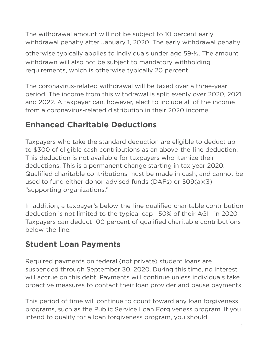The withdrawal amount will not be subject to 10 percent early withdrawal penalty after January 1, 2020. The early withdrawal penalty otherwise typically applies to individuals under age 59-½. The amount withdrawn will also not be subject to mandatory withholding requirements, which is otherwise typically 20 percent.

The coronavirus-related withdrawal will be taxed over a three-year period. The income from this withdrawal is split evenly over 2020, 2021 and 2022. A taxpayer can, however, elect to include all of the income from a coronavirus-related distribution in their 2020 income.

# **Enhanced Charitable Deductions**

Taxpayers who take the standard deduction are eligible to deduct up to \$300 of eligible cash contributions as an above-the-line deduction. This deduction is not available for taxpayers who itemize their deductions. This is a permanent change starting in tax year 2020. Qualified charitable contributions must be made in cash, and cannot be used to fund either donor-advised funds (DAFs) or 509(a)(3) "supporting organizations."

In addition, a taxpayer's below-the-line qualified charitable contribution deduction is not limited to the typical cap—50% of their AGI—in 2020. Taxpayers can deduct 100 percent of qualified charitable contributions below-the-line.

# **Student Loan Payments**

Required payments on federal (not private) student loans are suspended through September 30, 2020. During this time, no interest will accrue on this debt. Payments will continue unless individuals take proactive measures to contact their loan provider and pause payments.

This period of time will continue to count toward any loan forgiveness programs, such as the Public Service Loan Forgiveness program. If you intend to qualify for a loan forgiveness program, you should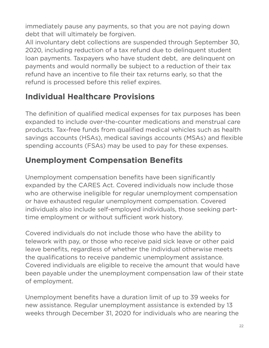immediately pause any payments, so that you are not paying down debt that will ultimately be forgiven.

All involuntary debt collections are suspended through September 30, 2020, including reduction of a tax refund due to delinquent student loan payments. Taxpayers who have student debt, are delinquent on payments and would normally be subject to a reduction of their tax refund have an incentive to file their tax returns early, so that the refund is processed before this relief expires.

# **Individual Healthcare Provisions**

The definition of qualified medical expenses for tax purposes has been expanded to include over-the-counter medications and menstrual care products. Tax-free funds from qualified medical vehicles such as health savings accounts (HSAs), medical savings accounts (MSAs) and flexible spending accounts (FSAs) may be used to pay for these expenses.

# **Unemployment Compensation Benefits**

Unemployment compensation benefits have been significantly expanded by the CARES Act. Covered individuals now include those who are otherwise ineligible for regular unemployment compensation or have exhausted regular unemployment compensation. Covered individuals also include self-employed individuals, those seeking parttime employment or without sufficient work history.

Covered individuals do not include those who have the ability to telework with pay, or those who receive paid sick leave or other paid leave benefits, regardless of whether the individual otherwise meets the qualifications to receive pandemic unemployment assistance. Covered individuals are eligible to receive the amount that would have been payable under the unemployment compensation law of their state of employment.

Unemployment benefits have a duration limit of up to 39 weeks for new assistance. Regular unemployment assistance is extended by 13 weeks through December 31, 2020 for individuals who are nearing the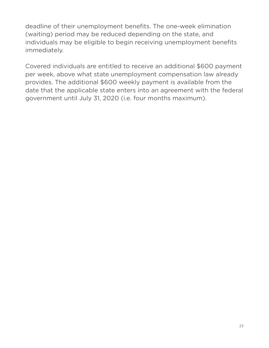deadline of their unemployment benefits. The one-week elimination (waiting) period may be reduced depending on the state, and individuals may be eligible to begin receiving unemployment benefits immediately.

Covered individuals are entitled to receive an additional \$600 payment per week, above what state unemployment compensation law already provides. The additional \$600 weekly payment is available from the date that the applicable state enters into an agreement with the federal government until July 31, 2020 (i.e. four months maximum).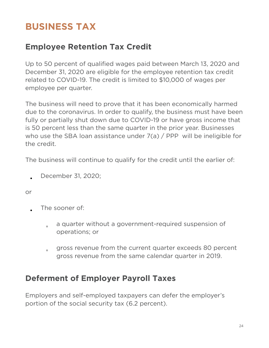# **BUSINESS TAX**

#### **Employee Retention Tax Credit**

Up to 50 percent of qualified wages paid between March 13, 2020 and December 31, 2020 are eligible for the employee retention tax credit related to COVID-19. The credit is limited to \$10,000 of wages per employee per quarter.

The business will need to prove that it has been economically harmed due to the coronavirus. In order to qualify, the business must have been fully or partially shut down due to COVID-19 or have gross income that is 50 percent less than the same quarter in the prior year. Businesses who use the SBA loan assistance under  $7(a)$  / PPP will be ineligible for the credit.

The business will continue to qualify for the credit until the earlier of:

• December 31, 2020;

or

- The sooner of:
	- a quarter without a government-required suspension of operations; or
	- gross revenue from the current quarter exceeds 80 percent gross revenue from the same calendar quarter in 2019.

#### **Deferment of Employer Payroll Taxes**

Employers and self-employed taxpayers can defer the employer's portion of the social security tax (6.2 percent).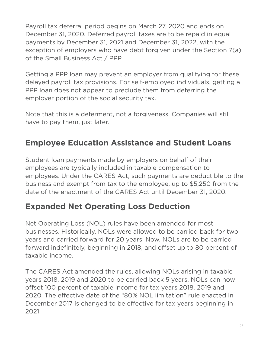Payroll tax deferral period begins on March 27, 2020 and ends on December 31, 2020. Deferred payroll taxes are to be repaid in equal payments by December 31, 2021 and December 31, 2022, with the exception of employers who have debt forgiven under the Section 7(a) of the Small Business Act / PPP.

Getting a PPP loan may prevent an employer from qualifying for these delayed payroll tax provisions. For self-employed individuals, getting a PPP loan does not appear to preclude them from deferring the employer portion of the social security tax.

Note that this is a deferment, not a forgiveness. Companies will still have to pay them, just later.

# **Employee Education Assistance and Student Loans**

Student loan payments made by employers on behalf of their employees are typically included in taxable compensation to employees. Under the CARES Act, such payments are deductible to the business and exempt from tax to the employee, up to \$5,250 from the date of the enactment of the CARES Act until December 31, 2020.

#### **Expanded Net Operating Loss Deduction**

Net Operating Loss (NOL) rules have been amended for most businesses. Historically, NOLs were allowed to be carried back for two years and carried forward for 20 years. Now, NOLs are to be carried forward indefinitely, beginning in 2018, and offset up to 80 percent of taxable income.

The CARES Act amended the rules, allowing NOLs arising in taxable years 2018, 2019 and 2020 to be carried back 5 years. NOLs can now offset 100 percent of taxable income for tax years 2018, 2019 and 2020. The effective date of the "80% NOL limitation" rule enacted in December 2017 is changed to be effective for tax years beginning in 2021.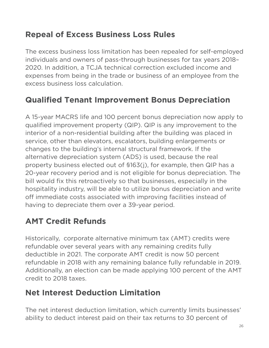# **Repeal of Excess Business Loss Rules**

The excess business loss limitation has been repealed for self-employed individuals and owners of pass-through businesses for tax years 2018– 2020. In addition, a TCJA technical correction excluded income and expenses from being in the trade or business of an employee from the excess business loss calculation.

### **Qualified Tenant Improvement Bonus Depreciation**

A 15-year MACRS life and 100 percent bonus depreciation now apply to qualified improvement property (QIP). QIP is any improvement to the interior of a non-residential building after the building was placed in service, other than elevators, escalators, building enlargements or changes to the building's internal structural framework. If the alternative depreciation system (ADS) is used, because the real property business elected out of §163(j), for example, then QIP has a 20-year recovery period and is not eligible for bonus depreciation. The bill would fix this retroactively so that businesses, especially in the hospitality industry, will be able to utilize bonus depreciation and write off immediate costs associated with improving facilities instead of having to depreciate them over a 39-year period.

# **AMT Credit Refunds**

Historically, corporate alternative minimum tax (AMT) credits were refundable over several years with any remaining credits fully deductible in 2021. The corporate AMT credit is now 50 percent refundable in 2018 with any remaining balance fully refundable in 2019. Additionally, an election can be made applying 100 percent of the AMT credit to 2018 taxes.

### **Net Interest Deduction Limitation**

The net interest deduction limitation, which currently limits businesses' ability to deduct interest paid on their tax returns to 30 percent of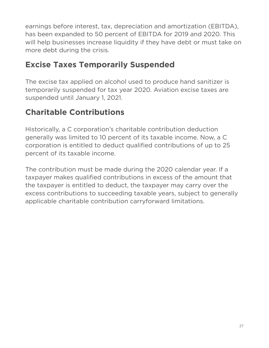earnings before interest, tax, depreciation and amortization (EBITDA), has been expanded to 50 percent of EBITDA for 2019 and 2020. This will help businesses increase liquidity if they have debt or must take on more debt during the crisis.

## **Excise Taxes Temporarily Suspended**

The excise tax applied on alcohol used to produce hand sanitizer is temporarily suspended for tax year 2020. Aviation excise taxes are suspended until January 1, 2021.

## **Charitable Contributions**

Historically, a C corporation's charitable contribution deduction generally was limited to 10 percent of its taxable income. Now, a C corporation is entitled to deduct qualified contributions of up to 25 percent of its taxable income.

The contribution must be made during the 2020 calendar year. If a taxpayer makes qualified contributions in excess of the amount that the taxpayer is entitled to deduct, the taxpayer may carry over the excess contributions to succeeding taxable years, subject to generally applicable charitable contribution carryforward limitations.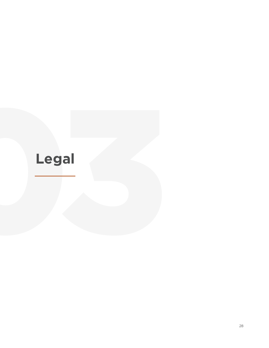# **Legal**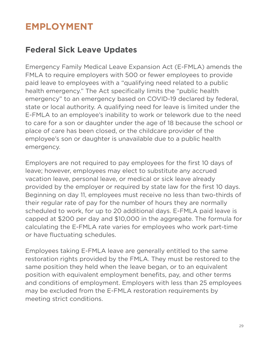# **EMPLOYMENT**

#### **Federal Sick Leave Updates**

Emergency Family Medical Leave Expansion Act (E-FMLA) amends the FMLA to require employers with 500 or fewer employees to provide paid leave to employees with a "qualifying need related to a public health emergency." The Act specifically limits the "public health emergency" to an emergency based on COVID-19 declared by federal, state or local authority. A qualifying need for leave is limited under the E-FMLA to an employee's inability to work or telework due to the need to care for a son or daughter under the age of 18 because the school or place of care has been closed, or the childcare provider of the employee's son or daughter is unavailable due to a public health emergency.

Employers are not required to pay employees for the first 10 days of leave; however, employees may elect to substitute any accrued vacation leave, personal leave, or medical or sick leave already provided by the employer or required by state law for the first 10 days. Beginning on day 11, employees must receive no less than two-thirds of their regular rate of pay for the number of hours they are normally scheduled to work, for up to 20 additional days. E-FMLA paid leave is capped at \$200 per day and \$10,000 in the aggregate. The formula for calculating the E-FMLA rate varies for employees who work part-time or have fluctuating schedules.

Employees taking E-FMLA leave are generally entitled to the same restoration rights provided by the FMLA. They must be restored to the same position they held when the leave began, or to an equivalent position with equivalent employment benefits, pay, and other terms and conditions of employment. Employers with less than 25 employees may be excluded from the E-FMLA restoration requirements by meeting strict conditions.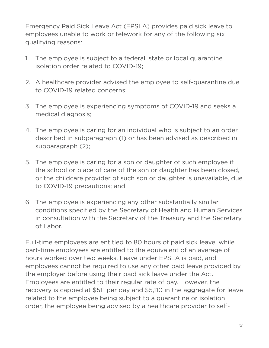Emergency Paid Sick Leave Act (EPSLA) provides paid sick leave to employees unable to work or telework for any of the following six qualifying reasons:

- 1. The employee is subject to a federal, state or local quarantine isolation order related to COVID-19;
- 2. A healthcare provider advised the employee to self-quarantine due to COVID-19 related concerns;
- 3. The employee is experiencing symptoms of COVID-19 and seeks a medical diagnosis;
- 4. The employee is caring for an individual who is subject to an order described in subparagraph (1) or has been advised as described in subparagraph (2);
- 5. The employee is caring for a son or daughter of such employee if the school or place of care of the son or daughter has been closed, or the childcare provider of such son or daughter is unavailable, due to COVID-19 precautions; and
- 6. The employee is experiencing any other substantially similar conditions specified by the Secretary of Health and Human Services in consultation with the Secretary of the Treasury and the Secretary of Labor.

Full-time employees are entitled to 80 hours of paid sick leave, while part-time employees are entitled to the equivalent of an average of hours worked over two weeks. Leave under EPSLA is paid, and employees cannot be required to use any other paid leave provided by the employer before using their paid sick leave under the Act. Employees are entitled to their regular rate of pay. However, the recovery is capped at \$511 per day and \$5,110 in the aggregate for leave related to the employee being subject to a quarantine or isolation order, the employee being advised by a healthcare provider to self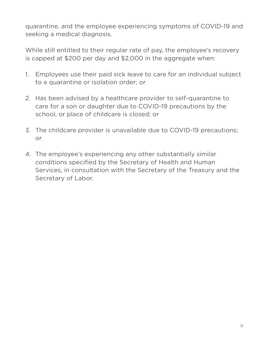quarantine, and the employee experiencing symptoms of COVID-19 and seeking a medical diagnosis.

While still entitled to their regular rate of pay, the employee's recovery is capped at \$200 per day and \$2,000 in the aggregate when:

- 1. Employees use their paid sick leave to care for an individual subject to a quarantine or isolation order; or
- 2. Has been advised by a healthcare provider to self-quarantine to care for a son or daughter due to COVID-19 precautions by the school, or place of childcare is closed; or
- 3. The childcare provider is unavailable due to COVID-19 precautions; or
- 4. The employee's experiencing any other substantially similar conditions specified by the Secretary of Health and Human Services, in consultation with the Secretary of the Treasury and the Secretary of Labor.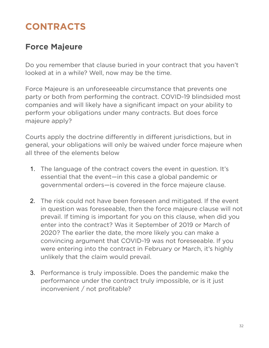# **CONTRACTS**

## **Force Majeure**

Do you remember that clause buried in your contract that you haven't looked at in a while? Well, now may be the time.

Force Majeure is an unforeseeable circumstance that prevents one party or both from performing the contract. COVID-19 blindsided most companies and will likely have a significant impact on your ability to perform your obligations under many contracts. But does force majeure apply?

Courts apply the doctrine differently in different jurisdictions, but in general, your obligations will only be waived under force majeure when all three of the elements below

- 1. The language of the contract covers the event in question. It's essential that the event—in this case a global pandemic or governmental orders—is covered in the force majeure clause.
- 2. The risk could not have been foreseen and mitigated. If the event in question was foreseeable, then the force majeure clause will not prevail. If timing is important for you on this clause, when did you enter into the contract? Was it September of 2019 or March of 2020? The earlier the date, the more likely you can make a convincing argument that COVID-19 was not foreseeable. If you were entering into the contract in February or March, it's highly unlikely that the claim would prevail.
- 3. Performance is truly impossible. Does the pandemic make the performance under the contract truly impossible, or is it just inconvenient / not profitable?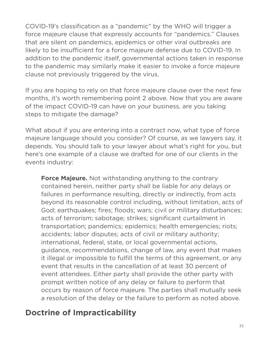COVID-19's classification as a "pandemic" by the WHO will trigger a force majeure clause that expressly accounts for "pandemics." Clauses that are silent on pandemics, epidemics or other viral outbreaks are likely to be insufficient for a force majeure defense due to COVID-19. In addition to the pandemic itself, governmental actions taken in response to the pandemic may similarly make it easier to invoke a force majeure clause not previously triggered by the virus.

If you are hoping to rely on that force majeure clause over the next few months, it's worth remembering point 2 above. Now that you are aware of the impact COVID-19 can have on your business, are you taking steps to mitigate the damage?

What about if you are entering into a contract now, what type of force majeure language should you consider? Of course, as we lawyers say, it depends. You should talk to your lawyer about what's right for you, but here's one example of a clause we drafted for one of our clients in the events industry:

**Force Majeure.** Not withstanding anything to the contrary contained herein, neither party shall be liable for any delays or failures in performance resulting, directly or indirectly, from acts beyond its reasonable control including, without limitation, acts of God; earthquakes; fires; floods; wars; civil or military disturbances; acts of terrorism; sabotage; strikes; significant curtailment in transportation; pandemics; epidemics; health emergencies; riots; accidents; labor disputes; acts of civil or military authority; international, federal, state, or local governmental actions, guidance, recommendations, change of law, any event that makes it illegal or impossible to fulfill the terms of this agreement, or any event that results in the cancellation of at least 30 percent of event attendees. Either party shall provide the other party with prompt written notice of any delay or failure to perform that occurs by reason of force majeure. The parties shall mutually seek a resolution of the delay or the failure to perform as noted above.

### **Doctrine of Impracticability**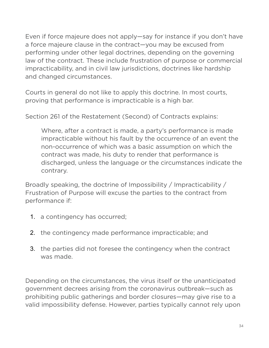Even if force majeure does not apply—say for instance if you don't have a force majeure clause in the contract—you may be excused from performing under other legal doctrines, depending on the governing law of the contract. These include frustration of purpose or commercial impracticability, and in civil law jurisdictions, doctrines like hardship and changed circumstances.

Courts in general do not like to apply this doctrine. In most courts, proving that performance is impracticable is a high bar.

Section 261 of the Restatement (Second) of Contracts explains:

Where, after a contract is made, a party's performance is made impracticable without his fault by the occurrence of an event the non-occurrence of which was a basic assumption on which the contract was made, his duty to render that performance is discharged, unless the language or the circumstances indicate the contrary.

Broadly speaking, the doctrine of Impossibility / Impracticability / Frustration of Purpose will excuse the parties to the contract from performance if:

- 1. a contingency has occurred;
- 2. the contingency made performance impracticable; and
- 3. the parties did not foresee the contingency when the contract was made.

Depending on the circumstances, the virus itself or the unanticipated government decrees arising from the coronavirus outbreak—such as prohibiting public gatherings and border closures—may give rise to a valid impossibility defense. However, parties typically cannot rely upon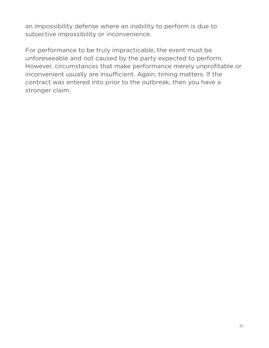an impossibility defense where an inability to perform is due to subjective impossibility or inconvenience.

For performance to be truly impracticable, the event must be unforeseeable and not caused by the party expected to perform. However, circumstances that make performance merely unprofitable or inconvenient usually are insufficient. Again, timing matters. If the contract was entered into prior to the outbreak, then you have a stronger claim.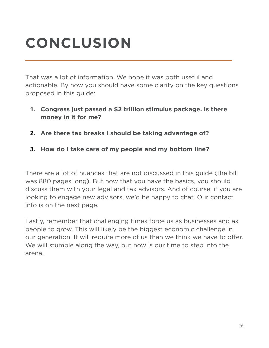# **CONCLUSION**

That was a lot of information. We hope it was both useful and actionable. By now you should have some clarity on the key questions proposed in this guide:

- **1. Congress just passed a \$2 trillion stimulus package. Is there money in it for me?**
- **2. Are there tax breaks I should be taking advantage of?**
- **3. How do I take care of my people and my bottom line?**

There are a lot of nuances that are not discussed in this guide (the bill was 880 pages long). But now that you have the basics, you should discuss them with your legal and tax advisors. And of course, if you are looking to engage new advisors, we'd be happy to chat. Our contact info is on the next page.

Lastly, remember that challenging times force us as businesses and as people to grow. This will likely be the biggest economic challenge in our generation. It will require more of us than we think we have to offer. We will stumble along the way, but now is our time to step into the arena.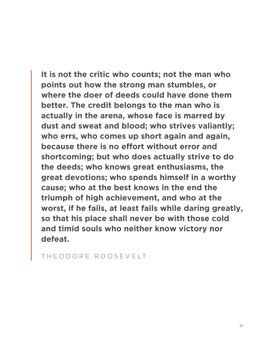**It is not the critic who counts; not the man who points out how the strong man stumbles, or where the doer of deeds could have done them better. The credit belongs to the man who is actually in the arena, whose face is marred by dust and sweat and blood; who strives valiantly; who errs, who comes up short again and again, because there is no effort without error and shortcoming; but who does actually strive to do the deeds; who knows great enthusiasms, the great devotions; who spends himself in a worthy cause; who at the best knows in the end the triumph of high achievement, and who at the worst, if he fails, at least fails while daring greatly, so that his place shall never be with those cold and timid souls who neither know victory nor defeat.**

THEODORE ROOSEVELT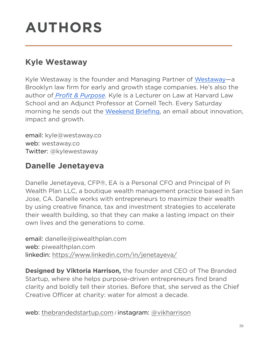# **AUTHORS**

#### **Kyle Westaway**

Kyle Westaway is the founder and Managing Partner of [Westaway](http://westaway.co/)—a Brooklyn law firm for early and growth stage companies. He's also the author of *[Profit & Purpose](https://www.amazon.com/Profit-Purpose-Innovation-Transforming-Nonprofit/dp/111870861X).* Kyle is a Lecturer on Law at Harvard Law School and an Adjunct Professor at Cornell Tech. Every Saturday morning he sends out the [Weekend Briefing,](http://weekendbriefing.com/) an email about innovation, impact and growth.

email: [kyle@westaway.co](mailto:kyle@westaway.co) web: [westaway.co](http://westaway.co/) Twitter: [@kylewestaway](http://twitter.com/kylewestaway)

## **Danelle Jenetayeva**

Danelle Jenetayeva, CFP®, EA is a Personal CFO and Principal of Pi Wealth Plan LLC, a boutique wealth management practice based in San Jose, CA. Danelle works with entrepreneurs to maximize their wealth by using creative finance, tax and investment strategies to accelerate their wealth building, so that they can make a lasting impact on their own lives and the generations to come.

email: [danelle@piwealthplan.com](mailto:danelle@piwealthplan.com) web[: piwealthplan.com](http://piwealthplan.com/) linkedin: <https://www.linkedin.com/in/jenetayeva/>

**Designed by Viktoria Harrison,** the founder and CEO of The Branded Startup, where she helps purpose-driven entrepreneurs find brand clarity and boldly tell their stories. Before that, she served as the Chief Creative Officer at charity: water for almost a decade.

web: [thebrandedstartup.com](http://thebrandedstartup.com/) / instagram: [@vikharrison](https://www.instagram.com/vikharrison/)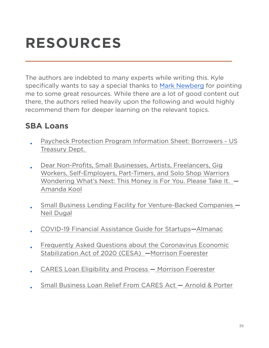# **RESOURCES**

The authors are indebted to many experts while writing this. Kyle specifically wants to say a special thanks to [Mark Newberg](https://www.linkedin.com/in/mark-newberg-3b09444/) for pointing me to some great resources. While there are a lot of good content out there, the authors relied heavily upon the following and would highly recommend them for deeper learning on the relevant topics.

#### **SBA Loans**

- [Paycheck Protection Program Information Sheet: Borrowers US](https://home.treasury.gov/system/files/136/PPP--Fact-Sheet.pdf)  [Treasury Dept.](https://home.treasury.gov/system/files/136/PPP--Fact-Sheet.pdf)
- [Dear Non-Profits, Small Businesses, Artists, Freelancers, Gig](https://medium.com/@amandalkool/dear-non-profits-small-businesses-freelancers-etc-this-money-is-for-you-please-take-it-b853196005ce)  [Workers, Self-Employers, Part-Timers, and Solo Shop Warriors](https://medium.com/@amandalkool/dear-non-profits-small-businesses-freelancers-etc-this-money-is-for-you-please-take-it-b853196005ce)  [Wondering What's Next: This Money is For You. Please Take It.](https://medium.com/@amandalkool/dear-non-profits-small-businesses-freelancers-etc-this-money-is-for-you-please-take-it-b853196005ce) — [Amanda Kool](https://medium.com/@amandalkool/dear-non-profits-small-businesses-freelancers-etc-this-money-is-for-you-please-take-it-b853196005ce)
- [Small Business Lending Facility for Venture-Backed Companies —](https://www.notion.so/Small-Business-Lending-Facility-for-Venture-Backed-Companies-5d7a5eb993f94d6789f95259aed76cd5) [Neil Dugal](https://www.notion.so/Small-Business-Lending-Facility-for-Venture-Backed-Companies-5d7a5eb993f94d6789f95259aed76cd5)
- [COVID-19 Financial Assistance Guide for Startups—Almanac](https://askalmanac.com/articles/13941/covid-19-financial-assistance-guide-for-startups)
- [Frequently Asked Questions about the Coronavirus Economic](https://www.mofo.com/resources/insights/200327-faq-coronavirus-economic-stabilization-act-cesa.html#_ftn31)  [Stabilization Act of 2020 \(CESA\)](https://www.mofo.com/resources/insights/200327-faq-coronavirus-economic-stabilization-act-cesa.html#_ftn31) [—Morrison Foerester](https://www.mofo.com/resources/insights/200327-faq-coronavirus-economic-stabilization-act-cesa.html#_ftn31)
- [CARES Loan Eligibility and Process](https://www.mofo.com/resources/insights/200327-cares-sba-loan-eligibility-process.html) — [Morrison Foerester](https://www.mofo.com/resources/insights/200327-cares-sba-loan-eligibility-process.html)
- [Small Business Loan Relief From CARES Act](https://www.arnoldporter.com/en/perspectives/publications/2020/03/small-business-loan-relief-from-cares-act) — [Arnold & Porter](https://www.arnoldporter.com/en/perspectives/publications/2020/03/small-business-loan-relief-from-cares-act)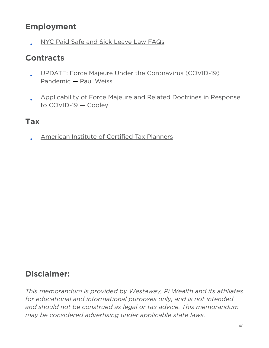#### **Employment**

• [NYC Paid Safe and Sick Leave Law FAQs](https://www1.nyc.gov/site/dca/about/paid-sick-leave-FAQs.page)

#### **Contracts**

- [UPDATE: Force Majeure Under the Coronavirus \(COVID-19\)](https://www.paulweiss.com/practices/litigation/litigation/publications/update-force-majeure-under-the-coronavirus-covid-19-pandemic?id=30881)  [Pandemic](https://www.paulweiss.com/practices/litigation/litigation/publications/update-force-majeure-under-the-coronavirus-covid-19-pandemic?id=30881) — [Paul Weiss](https://www.paulweiss.com/practices/litigation/litigation/publications/update-force-majeure-under-the-coronavirus-covid-19-pandemic?id=30881)
- [Applicability of Force Majeure and Related Doctrines in Response](https://www.cooley.com/news/insight/2020/2020-03-17-applicability-of-force-majeure-and-related-doctrines-in-response-to-covid-19)  [to COVID-19 — Cooley](https://www.cooley.com/news/insight/2020/2020-03-17-applicability-of-force-majeure-and-related-doctrines-in-response-to-covid-19)

#### **Tax**

• [American Institute of Certified Tax Planners](https://certifiedtaxcoach.org/about/)

### **Disclaimer:**

*This memorandum is provided by Westaway, Pi Wealth and its affiliates for educational and informational purposes only, and is not intended and should not be construed as legal or tax advice. This memorandum may be considered advertising under applicable state laws.*